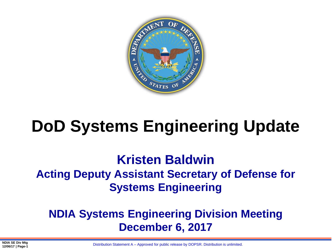

# **DoD Systems Engineering Update**

## **Kristen Baldwin Acting Deputy Assistant Secretary of Defense for Systems Engineering**

## **NDIA Systems Engineering Division Meeting December 6, 2017**

Distribution Statement A – Approved for public release by DOPSR. Distribution is unlimited.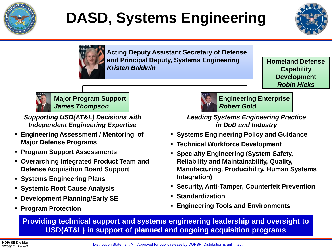

# **DASD, Systems Engineering**





**Acting Deputy Assistant Secretary of Defense and Principal Deputy, Systems Engineering**  *Kristen Baldwin*

**Homeland Defense Capability Development** *Robin Hicks*



**Major Program Support** *James Thompson*

*Supporting USD(AT&L) Decisions with Independent Engineering Expertise*

- **Engineering Assessment / Mentoring of Major Defense Programs**
- **Program Support Assessments**
- **Overarching Integrated Product Team and Defense Acquisition Board Support**
- **Systems Engineering Plans**
- **Systemic Root Cause Analysis**
- **Development Planning/Early SE**
- **Program Protection**



**Engineering Enterprise** *Robert Gold*

*Leading Systems Engineering Practice in DoD and Industry*

- **Systems Engineering Policy and Guidance**
- **Technical Workforce Development**
- **Specialty Engineering (System Safety, Reliability and Maintainability, Quality, Manufacturing, Producibility, Human Systems Integration)**
- **Security, Anti-Tamper, Counterfeit Prevention**
- **Standardization**
- **Engineering Tools and Environments**

**Providing technical support and systems engineering leadership and oversight to USD(AT&L) in support of planned and ongoing acquisition programs**

Distribution Statement A – Approved for public release by DOPSR. Distribution is unlimited.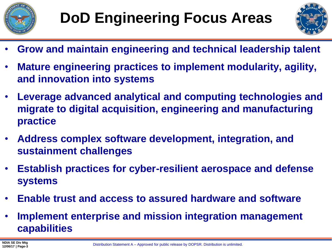



- **Grow and maintain engineering and technical leadership talent**
- **Mature engineering practices to implement modularity, agility, and innovation into systems**
- **Leverage advanced analytical and computing technologies and migrate to digital acquisition, engineering and manufacturing practice**
- **Address complex software development, integration, and sustainment challenges**
- **Establish practices for cyber-resilient aerospace and defense systems**
- **Enable trust and access to assured hardware and software**
- **Implement enterprise and mission integration management capabilities**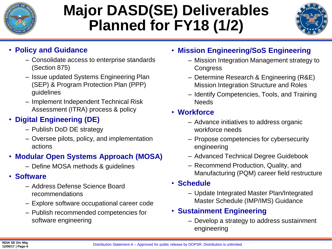

## **Major DASD(SE) Deliverables Planned for FY18 (1/2)**



#### • **Policy and Guidance**

- Consolidate access to enterprise standards (Section 875)
- Issue updated Systems Engineering Plan (SEP) & Program Protection Plan (PPP) guidelines
- Implement Independent Technical Risk Assessment (ITRA) process & policy

### • **Digital Engineering (DE)**

- Publish DoD DE strategy
- Oversee pilots, policy, and implementation actions

#### • **Modular Open Systems Approach (MOSA)**

– Define MOSA methods & guidelines

#### • **Software**

- Address Defense Science Board recommendations
- Explore software occupational career code
- Publish recommended competencies for software engineering

#### • **Mission Engineering/SoS Engineering**

- Mission Integration Management strategy to **Congress**
- Determine Research & Engineering (R&E) Mission Integration Structure and Roles
- Identify Competencies, Tools, and Training **Needs**

#### • **Workforce**

- Advance initiatives to address organic workforce needs
- Propose competencies for cybersecurity engineering
- Advanced Technical Degree Guidebook
- Recommend Production, Quality, and Manufacturing (PQM) career field restructure

#### • **Schedule**

– Update Integrated Master Plan/Integrated Master Schedule (IMP/IMS) Guidance

#### • **Sustainment Engineering**

– Develop a strategy to address sustainment engineering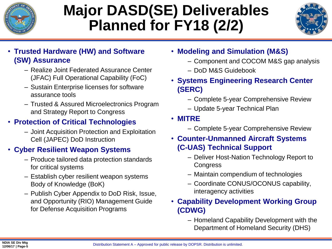

## **Major DASD(SE) Deliverables Planned for FY18 (2/2)**



- **Trusted Hardware (HW) and Software (SW) Assurance**
	- Realize Joint Federated Assurance Center (JFAC) Full Operational Capability (FoC)
	- Sustain Enterprise licenses for software assurance tools
	- Trusted & Assured Microelectronics Program and Strategy Report to Congress

### • **Protection of Critical Technologies**

– Joint Acquisition Protection and Exploitation Cell (JAPEC) DoD Instruction

#### • **Cyber Resilient Weapon Systems**

- Produce tailored data protection standards for critical systems
- Establish cyber resilient weapon systems Body of Knowledge (BoK)
- Publish Cyber Appendix to DoD Risk, Issue, and Opportunity (RIO) Management Guide for Defense Acquisition Programs
- **Modeling and Simulation (M&S)**
	- Component and COCOM M&S gap analysis
	- DoD M&S Guidebook
- **Systems Engineering Research Center (SERC)**
	- Complete 5-year Comprehensive Review
	- Update 5-year Technical Plan
- **MITRE**
	- Complete 5-year Comprehensive Review
- **Counter-Unmanned Aircraft Systems (C-UAS) Technical Support**
	- Deliver Host-Nation Technology Report to **Congress**
	- Maintain compendium of technologies
	- Coordinate CONUS/OCONUS capability, interagency activities

#### • **Capability Development Working Group (CDWG)**

– Homeland Capability Development with the Department of Homeland Security (DHS)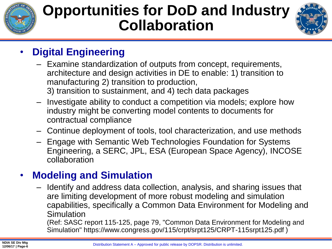

## **Opportunities for DoD and Industry Collaboration**



## • **Digital Engineering**

- Examine standardization of outputs from concept, requirements, architecture and design activities in DE to enable: 1) transition to manufacturing 2) transition to production, 3) transition to sustainment, and 4) tech data packages
- Investigate ability to conduct a competition via models; explore how industry might be converting model contents to documents for contractual compliance
- Continue deployment of tools, tool characterization, and use methods
- Engage with Semantic Web Technologies Foundation for Systems Engineering, a SERC, JPL, ESA (European Space Agency), INCOSE collaboration

## • **Modeling and Simulation**

– Identify and address data collection, analysis, and sharing issues that are limiting development of more robust modeling and simulation capabilities, specifically a Common Data Environment for Modeling and Simulation

(Ref: SASC report 115-125, page 79, "Common Data Environment for Modeling and Simulation" https://www.congress.gov/115/crpt/srpt125/CRPT-115srpt125.pdf )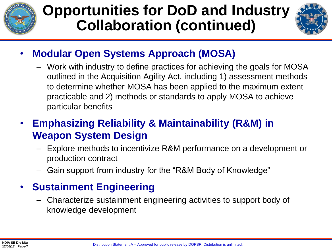

## **Opportunities for DoD and Industry Collaboration (continued)**



- **Modular Open Systems Approach (MOSA)**
	- Work with industry to define practices for achieving the goals for MOSA outlined in the Acquisition Agility Act, including 1) assessment methods to determine whether MOSA has been applied to the maximum extent practicable and 2) methods or standards to apply MOSA to achieve particular benefits

### • **Emphasizing Reliability & Maintainability (R&M) in Weapon System Design**

- Explore methods to incentivize R&M performance on a development or production contract
- Gain support from industry for the "R&M Body of Knowledge"

### • **Sustainment Engineering**

– Characterize sustainment engineering activities to support body of knowledge development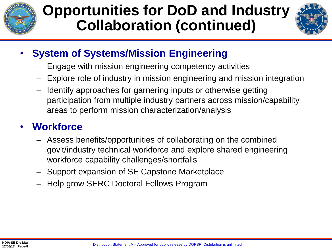

## **Opportunities for DoD and Industry Collaboration (continued)**



## • **System of Systems/Mission Engineering**

- Engage with mission engineering competency activities
- Explore role of industry in mission engineering and mission integration
- Identify approaches for garnering inputs or otherwise getting participation from multiple industry partners across mission/capability areas to perform mission characterization/analysis

### • **Workforce**

- Assess benefits/opportunities of collaborating on the combined gov't/industry technical workforce and explore shared engineering workforce capability challenges/shortfalls
- Support expansion of SE Capstone Marketplace
- Help grow SERC Doctoral Fellows Program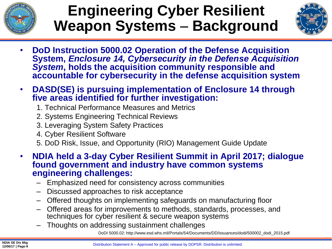

## **Engineering Cyber Resilient Weapon Systems - Background**



- **DoD Instruction 5000.02 Operation of the Defense Acquisition System,** *Enclosure 14, Cybersecurity in the Defense Acquisition System***, holds the acquisition community responsible and accountable for cybersecurity in the defense acquisition system**
- **DASD(SE) is pursuing implementation of Enclosure 14 through five areas identified for further investigation:**
	- 1. Technical Performance Measures and Metrics
	- 2. Systems Engineering Technical Reviews
	- 3. Leveraging System Safety Practices
	- 4. Cyber Resilient Software
	- 5. DoD Risk, Issue, and Opportunity (RIO) Management Guide Update
- **NDIA held a 3-day Cyber Resilient Summit in April 2017; dialogue found government and industry have common systems engineering challenges:**
	- Emphasized need for consistency across communities
	- Discussed approaches to risk acceptance
	- Offered thoughts on implementing safeguards on manufacturing floor
	- Offered areas for improvements to methods, standards, processes, and techniques for cyber resilient & secure weapon systems
	- Thoughts on addressing sustainment challenges

DoDI 5000.02: http://www.esd.whs.mil/Portals/54/Documents/DD/issuances/dodi/500002\_dodi\_2015.pdf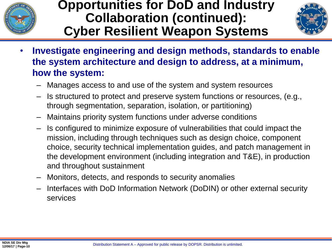

### **Opportunities for DoD and Industry Collaboration (continued): Cyber Resilient Weapon Systems**



- **Investigate engineering and design methods, standards to enable the system architecture and design to address, at a minimum, how the system:**
	- Manages access to and use of the system and system resources
	- Is structured to protect and preserve system functions or resources, (e.g., through segmentation, separation, isolation, or partitioning)
	- Maintains priority system functions under adverse conditions
	- Is configured to minimize exposure of vulnerabilities that could impact the mission, including through techniques such as design choice, component choice, security technical implementation guides, and patch management in the development environment (including integration and T&E), in production and throughout sustainment
	- Monitors, detects, and responds to security anomalies
	- Interfaces with DoD Information Network (DoDIN) or other external security services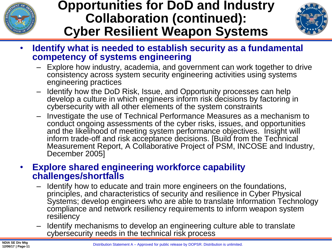

## **Opportunities for DoD and Industry Collaboration (continued): Cyber Resilient Weapon Systems**



- **Identify what is needed to establish security as a fundamental competency of systems engineering**
	- Explore how industry, academia, and government can work together to drive consistency across system security engineering activities using systems engineering practices
	- Identify how the DoD Risk, Issue, and Opportunity processes can help develop a culture in which engineers inform risk decisions by factoring in cybersecurity with all other elements of the system constraints
	- Investigate the use of Technical Performance Measures as a mechanism to conduct ongoing assessments of the cyber risks, issues, and opportunities and the likelihood of meeting system performance objectives. Insight will inform trade-off and risk acceptance decisions. [Build from the Technical Measurement Report, A Collaborative Project of PSM, INCOSE and Industry, December 2005]

#### • **Explore shared engineering workforce capability challenges/shortfalls**

- Identify how to educate and train more engineers on the foundations, principles, and characteristics of security and resilience in Cyber Physical Systems; develop engineers who are able to translate Information Technology compliance and network resiliency requirements to inform weapon system resiliency
- Identify mechanisms to develop an engineering culture able to translate cybersecurity needs in the technical risk process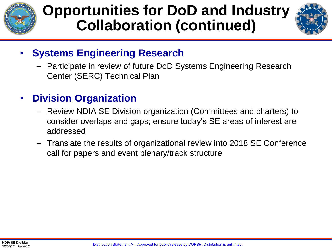

## **Opportunities for DoD and Industry Collaboration (continued)**



### • **Systems Engineering Research**

– Participate in review of future DoD Systems Engineering Research Center (SERC) Technical Plan

## • **Division Organization**

- Review NDIA SE Division organization (Committees and charters) to consider overlaps and gaps; ensure today's SE areas of interest are addressed
- Translate the results of organizational review into 2018 SE Conference call for papers and event plenary/track structure